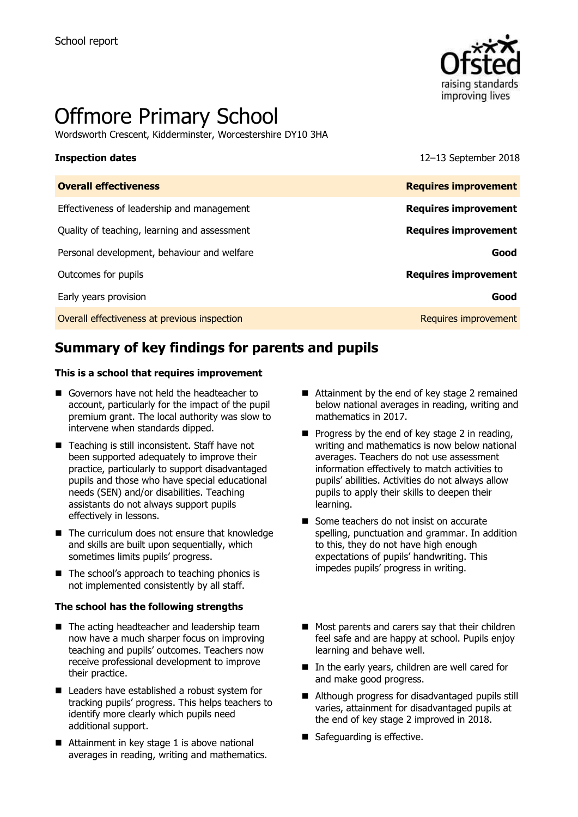

# Offmore Primary School

Wordsworth Crescent, Kidderminster, Worcestershire DY10 3HA

**Inspection dates** 12–13 September 2018

| <b>Overall effectiveness</b>                 | <b>Requires improvement</b> |
|----------------------------------------------|-----------------------------|
| Effectiveness of leadership and management   | <b>Requires improvement</b> |
| Quality of teaching, learning and assessment | <b>Requires improvement</b> |
| Personal development, behaviour and welfare  | Good                        |
| Outcomes for pupils                          | <b>Requires improvement</b> |
| Early years provision                        | Good                        |
| Overall effectiveness at previous inspection | <b>Requires improvement</b> |
|                                              |                             |

## **Summary of key findings for parents and pupils**

#### **This is a school that requires improvement**

- Governors have not held the headteacher to account, particularly for the impact of the pupil premium grant. The local authority was slow to intervene when standards dipped.
- Teaching is still inconsistent. Staff have not been supported adequately to improve their practice, particularly to support disadvantaged pupils and those who have special educational needs (SEN) and/or disabilities. Teaching assistants do not always support pupils effectively in lessons.
- The curriculum does not ensure that knowledge and skills are built upon sequentially, which sometimes limits pupils' progress.
- The school's approach to teaching phonics is not implemented consistently by all staff.

#### **The school has the following strengths**

- The acting headteacher and leadership team now have a much sharper focus on improving teaching and pupils' outcomes. Teachers now receive professional development to improve their practice.
- Leaders have established a robust system for tracking pupils' progress. This helps teachers to identify more clearly which pupils need additional support.
- Attainment in key stage 1 is above national averages in reading, writing and mathematics.
- Attainment by the end of key stage 2 remained below national averages in reading, writing and mathematics in 2017.
- $\blacksquare$  Progress by the end of key stage 2 in reading, writing and mathematics is now below national averages. Teachers do not use assessment information effectively to match activities to pupils' abilities. Activities do not always allow pupils to apply their skills to deepen their learning.
- Some teachers do not insist on accurate spelling, punctuation and grammar. In addition to this, they do not have high enough expectations of pupils' handwriting. This impedes pupils' progress in writing.
- Most parents and carers say that their children feel safe and are happy at school. Pupils enjoy learning and behave well.
- In the early years, children are well cared for and make good progress.
- Although progress for disadvantaged pupils still varies, attainment for disadvantaged pupils at the end of key stage 2 improved in 2018.
- Safeguarding is effective.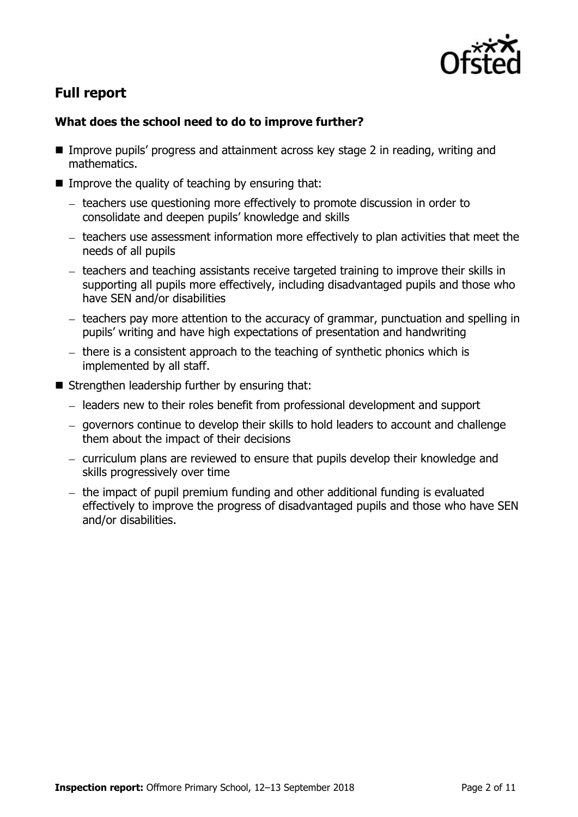

# **Full report**

### **What does the school need to do to improve further?**

- Improve pupils' progress and attainment across key stage 2 in reading, writing and mathematics.
- $\blacksquare$  Improve the quality of teaching by ensuring that:
	- teachers use questioning more effectively to promote discussion in order to consolidate and deepen pupils' knowledge and skills
	- $-$  teachers use assessment information more effectively to plan activities that meet the needs of all pupils
	- teachers and teaching assistants receive targeted training to improve their skills in supporting all pupils more effectively, including disadvantaged pupils and those who have SEN and/or disabilities
	- $-$  teachers pay more attention to the accuracy of grammar, punctuation and spelling in pupils' writing and have high expectations of presentation and handwriting
	- there is a consistent approach to the teaching of synthetic phonics which is implemented by all staff.
- $\blacksquare$  Strengthen leadership further by ensuring that:
	- leaders new to their roles benefit from professional development and support
	- governors continue to develop their skills to hold leaders to account and challenge them about the impact of their decisions
	- curriculum plans are reviewed to ensure that pupils develop their knowledge and skills progressively over time
	- $-$  the impact of pupil premium funding and other additional funding is evaluated effectively to improve the progress of disadvantaged pupils and those who have SEN and/or disabilities.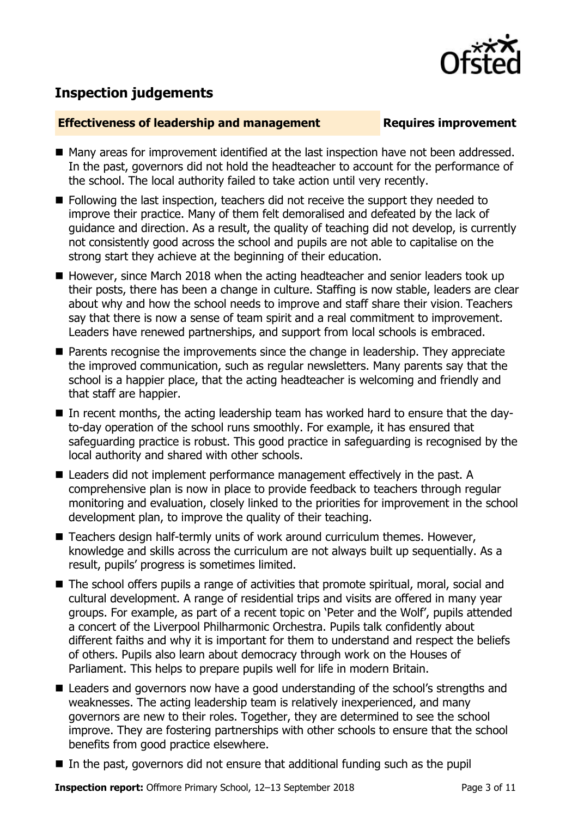

# **Inspection judgements**

### **Effectiveness of leadership and management Requires improvement**

- Many areas for improvement identified at the last inspection have not been addressed. In the past, governors did not hold the headteacher to account for the performance of the school. The local authority failed to take action until very recently.
- Following the last inspection, teachers did not receive the support they needed to improve their practice. Many of them felt demoralised and defeated by the lack of guidance and direction. As a result, the quality of teaching did not develop, is currently not consistently good across the school and pupils are not able to capitalise on the strong start they achieve at the beginning of their education.
- However, since March 2018 when the acting headteacher and senior leaders took up their posts, there has been a change in culture. Staffing is now stable, leaders are clear about why and how the school needs to improve and staff share their vision. Teachers say that there is now a sense of team spirit and a real commitment to improvement. Leaders have renewed partnerships, and support from local schools is embraced.
- **Parents recognise the improvements since the change in leadership. They appreciate** the improved communication, such as regular newsletters. Many parents say that the school is a happier place, that the acting headteacher is welcoming and friendly and that staff are happier.
- In recent months, the acting leadership team has worked hard to ensure that the dayto-day operation of the school runs smoothly. For example, it has ensured that safeguarding practice is robust. This good practice in safeguarding is recognised by the local authority and shared with other schools.
- Leaders did not implement performance management effectively in the past. A comprehensive plan is now in place to provide feedback to teachers through regular monitoring and evaluation, closely linked to the priorities for improvement in the school development plan, to improve the quality of their teaching.
- Teachers design half-termly units of work around curriculum themes. However, knowledge and skills across the curriculum are not always built up sequentially. As a result, pupils' progress is sometimes limited.
- The school offers pupils a range of activities that promote spiritual, moral, social and cultural development. A range of residential trips and visits are offered in many year groups. For example, as part of a recent topic on 'Peter and the Wolf', pupils attended a concert of the Liverpool Philharmonic Orchestra. Pupils talk confidently about different faiths and why it is important for them to understand and respect the beliefs of others. Pupils also learn about democracy through work on the Houses of Parliament. This helps to prepare pupils well for life in modern Britain.
- Leaders and governors now have a good understanding of the school's strengths and weaknesses. The acting leadership team is relatively inexperienced, and many governors are new to their roles. Together, they are determined to see the school improve. They are fostering partnerships with other schools to ensure that the school benefits from good practice elsewhere.
- $\blacksquare$  In the past, governors did not ensure that additional funding such as the pupil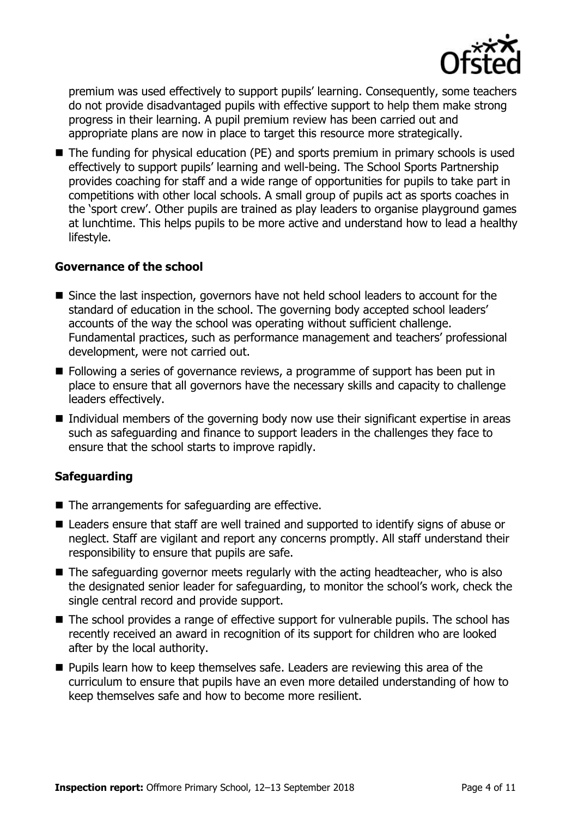

premium was used effectively to support pupils' learning. Consequently, some teachers do not provide disadvantaged pupils with effective support to help them make strong progress in their learning. A pupil premium review has been carried out and appropriate plans are now in place to target this resource more strategically.

■ The funding for physical education (PE) and sports premium in primary schools is used effectively to support pupils' learning and well-being. The School Sports Partnership provides coaching for staff and a wide range of opportunities for pupils to take part in competitions with other local schools. A small group of pupils act as sports coaches in the 'sport crew'. Other pupils are trained as play leaders to organise playground games at lunchtime. This helps pupils to be more active and understand how to lead a healthy lifestyle.

#### **Governance of the school**

- Since the last inspection, governors have not held school leaders to account for the standard of education in the school. The governing body accepted school leaders' accounts of the way the school was operating without sufficient challenge. Fundamental practices, such as performance management and teachers' professional development, were not carried out.
- **Following a series of governance reviews, a programme of support has been put in** place to ensure that all governors have the necessary skills and capacity to challenge leaders effectively.
- Individual members of the governing body now use their significant expertise in areas such as safeguarding and finance to support leaders in the challenges they face to ensure that the school starts to improve rapidly.

### **Safeguarding**

- $\blacksquare$  The arrangements for safeguarding are effective.
- Leaders ensure that staff are well trained and supported to identify signs of abuse or neglect. Staff are vigilant and report any concerns promptly. All staff understand their responsibility to ensure that pupils are safe.
- $\blacksquare$  The safeguarding governor meets regularly with the acting headteacher, who is also the designated senior leader for safeguarding, to monitor the school's work, check the single central record and provide support.
- The school provides a range of effective support for vulnerable pupils. The school has recently received an award in recognition of its support for children who are looked after by the local authority.
- $\blacksquare$  Pupils learn how to keep themselves safe. Leaders are reviewing this area of the curriculum to ensure that pupils have an even more detailed understanding of how to keep themselves safe and how to become more resilient.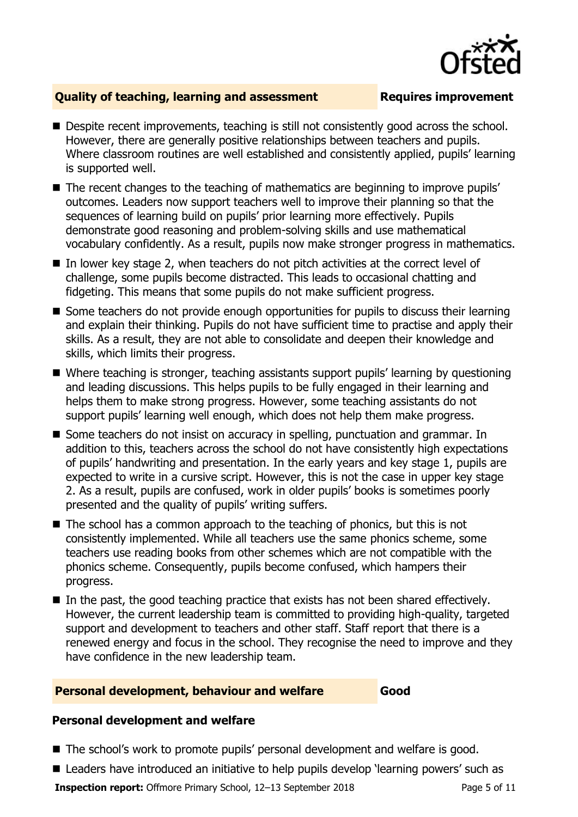

### **Quality of teaching, learning and assessment Requires improvement**

- Despite recent improvements, teaching is still not consistently good across the school. However, there are generally positive relationships between teachers and pupils. Where classroom routines are well established and consistently applied, pupils' learning is supported well.
- The recent changes to the teaching of mathematics are beginning to improve pupils' outcomes. Leaders now support teachers well to improve their planning so that the sequences of learning build on pupils' prior learning more effectively. Pupils demonstrate good reasoning and problem-solving skills and use mathematical vocabulary confidently. As a result, pupils now make stronger progress in mathematics.
- In lower key stage 2, when teachers do not pitch activities at the correct level of challenge, some pupils become distracted. This leads to occasional chatting and fidgeting. This means that some pupils do not make sufficient progress.
- Some teachers do not provide enough opportunities for pupils to discuss their learning and explain their thinking. Pupils do not have sufficient time to practise and apply their skills. As a result, they are not able to consolidate and deepen their knowledge and skills, which limits their progress.
- Where teaching is stronger, teaching assistants support pupils' learning by questioning and leading discussions. This helps pupils to be fully engaged in their learning and helps them to make strong progress. However, some teaching assistants do not support pupils' learning well enough, which does not help them make progress.
- Some teachers do not insist on accuracy in spelling, punctuation and grammar. In addition to this, teachers across the school do not have consistently high expectations of pupils' handwriting and presentation. In the early years and key stage 1, pupils are expected to write in a cursive script. However, this is not the case in upper key stage 2. As a result, pupils are confused, work in older pupils' books is sometimes poorly presented and the quality of pupils' writing suffers.
- The school has a common approach to the teaching of phonics, but this is not consistently implemented. While all teachers use the same phonics scheme, some teachers use reading books from other schemes which are not compatible with the phonics scheme. Consequently, pupils become confused, which hampers their progress.
- In the past, the good teaching practice that exists has not been shared effectively. However, the current leadership team is committed to providing high-quality, targeted support and development to teachers and other staff. Staff report that there is a renewed energy and focus in the school. They recognise the need to improve and they have confidence in the new leadership team.

#### **Personal development, behaviour and welfare Good**

### **Personal development and welfare**

- The school's work to promote pupils' personal development and welfare is good.
- Leaders have introduced an initiative to help pupils develop 'learning powers' such as

**Inspection report:** Offmore Primary School, 12–13 September 2018 Page 5 of 11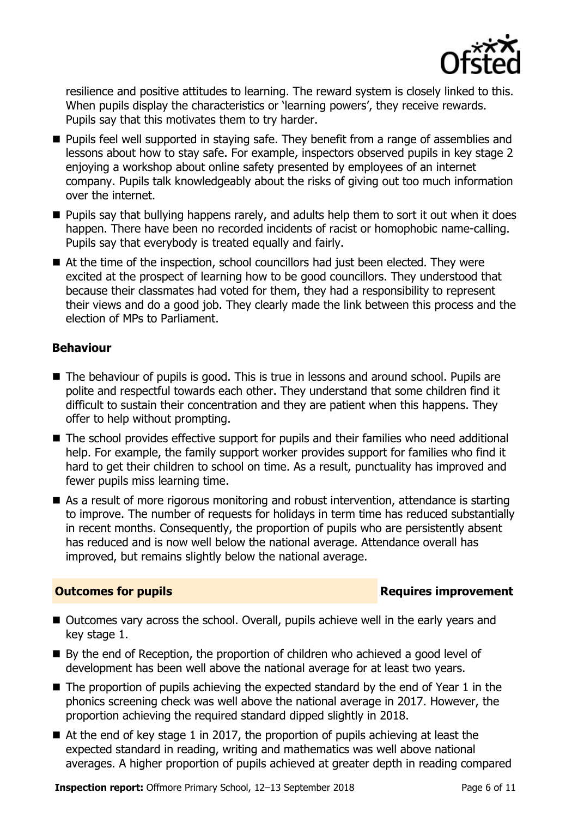

resilience and positive attitudes to learning. The reward system is closely linked to this. When pupils display the characteristics or 'learning powers', they receive rewards. Pupils say that this motivates them to try harder.

- **Pupils feel well supported in staying safe. They benefit from a range of assemblies and** lessons about how to stay safe. For example, inspectors observed pupils in key stage 2 enjoying a workshop about online safety presented by employees of an internet company. Pupils talk knowledgeably about the risks of giving out too much information over the internet.
- $\blacksquare$  Pupils say that bullying happens rarely, and adults help them to sort it out when it does happen. There have been no recorded incidents of racist or homophobic name-calling. Pupils say that everybody is treated equally and fairly.
- At the time of the inspection, school councillors had just been elected. They were excited at the prospect of learning how to be good councillors. They understood that because their classmates had voted for them, they had a responsibility to represent their views and do a good job. They clearly made the link between this process and the election of MPs to Parliament.

#### **Behaviour**

- The behaviour of pupils is good. This is true in lessons and around school. Pupils are polite and respectful towards each other. They understand that some children find it difficult to sustain their concentration and they are patient when this happens. They offer to help without prompting.
- The school provides effective support for pupils and their families who need additional help. For example, the family support worker provides support for families who find it hard to get their children to school on time. As a result, punctuality has improved and fewer pupils miss learning time.
- As a result of more rigorous monitoring and robust intervention, attendance is starting to improve. The number of requests for holidays in term time has reduced substantially in recent months. Consequently, the proportion of pupils who are persistently absent has reduced and is now well below the national average. Attendance overall has improved, but remains slightly below the national average.

### **Outcomes for pupils Requires improvement**

- Outcomes vary across the school. Overall, pupils achieve well in the early years and key stage 1.
- $\blacksquare$  By the end of Reception, the proportion of children who achieved a good level of development has been well above the national average for at least two years.
- $\blacksquare$  The proportion of pupils achieving the expected standard by the end of Year 1 in the phonics screening check was well above the national average in 2017. However, the proportion achieving the required standard dipped slightly in 2018.
- $\blacksquare$  At the end of key stage 1 in 2017, the proportion of pupils achieving at least the expected standard in reading, writing and mathematics was well above national averages. A higher proportion of pupils achieved at greater depth in reading compared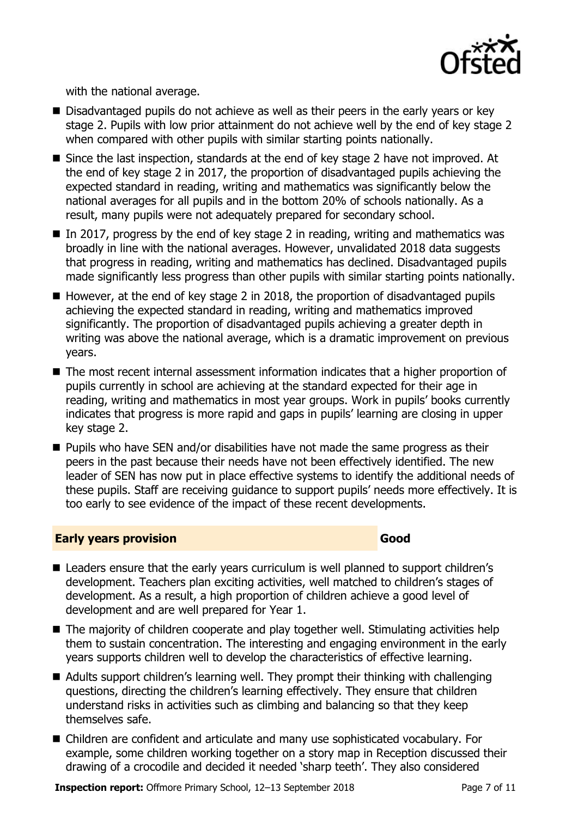

with the national average.

- Disadvantaged pupils do not achieve as well as their peers in the early years or key stage 2. Pupils with low prior attainment do not achieve well by the end of key stage 2 when compared with other pupils with similar starting points nationally.
- Since the last inspection, standards at the end of key stage 2 have not improved. At the end of key stage 2 in 2017, the proportion of disadvantaged pupils achieving the expected standard in reading, writing and mathematics was significantly below the national averages for all pupils and in the bottom 20% of schools nationally. As a result, many pupils were not adequately prepared for secondary school.
- In 2017, progress by the end of key stage 2 in reading, writing and mathematics was broadly in line with the national averages. However, unvalidated 2018 data suggests that progress in reading, writing and mathematics has declined. Disadvantaged pupils made significantly less progress than other pupils with similar starting points nationally.
- However, at the end of key stage 2 in 2018, the proportion of disadvantaged pupils achieving the expected standard in reading, writing and mathematics improved significantly. The proportion of disadvantaged pupils achieving a greater depth in writing was above the national average, which is a dramatic improvement on previous years.
- The most recent internal assessment information indicates that a higher proportion of pupils currently in school are achieving at the standard expected for their age in reading, writing and mathematics in most year groups. Work in pupils' books currently indicates that progress is more rapid and gaps in pupils' learning are closing in upper key stage 2.
- $\blacksquare$  Pupils who have SEN and/or disabilities have not made the same progress as their peers in the past because their needs have not been effectively identified. The new leader of SEN has now put in place effective systems to identify the additional needs of these pupils. Staff are receiving guidance to support pupils' needs more effectively. It is too early to see evidence of the impact of these recent developments.

#### **Early years provision Good Good**

- Leaders ensure that the early years curriculum is well planned to support children's development. Teachers plan exciting activities, well matched to children's stages of development. As a result, a high proportion of children achieve a good level of development and are well prepared for Year 1.
- The majority of children cooperate and play together well. Stimulating activities help them to sustain concentration. The interesting and engaging environment in the early years supports children well to develop the characteristics of effective learning.
- Adults support children's learning well. They prompt their thinking with challenging questions, directing the children's learning effectively. They ensure that children understand risks in activities such as climbing and balancing so that they keep themselves safe.
- Children are confident and articulate and many use sophisticated vocabulary. For example, some children working together on a story map in Reception discussed their drawing of a crocodile and decided it needed 'sharp teeth'. They also considered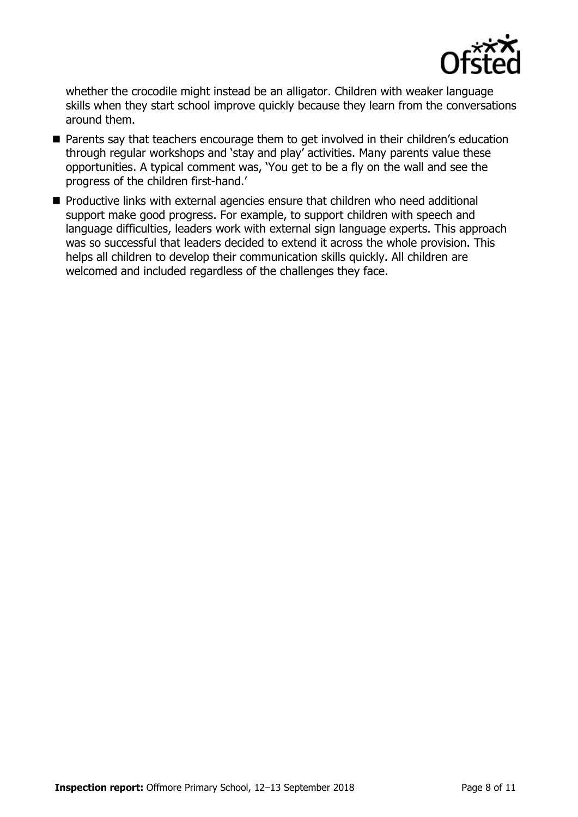

whether the crocodile might instead be an alligator. Children with weaker language skills when they start school improve quickly because they learn from the conversations around them.

- Parents say that teachers encourage them to get involved in their children's education through regular workshops and 'stay and play' activities. Many parents value these opportunities. A typical comment was, 'You get to be a fly on the wall and see the progress of the children first-hand.'
- Productive links with external agencies ensure that children who need additional support make good progress. For example, to support children with speech and language difficulties, leaders work with external sign language experts. This approach was so successful that leaders decided to extend it across the whole provision. This helps all children to develop their communication skills quickly. All children are welcomed and included regardless of the challenges they face.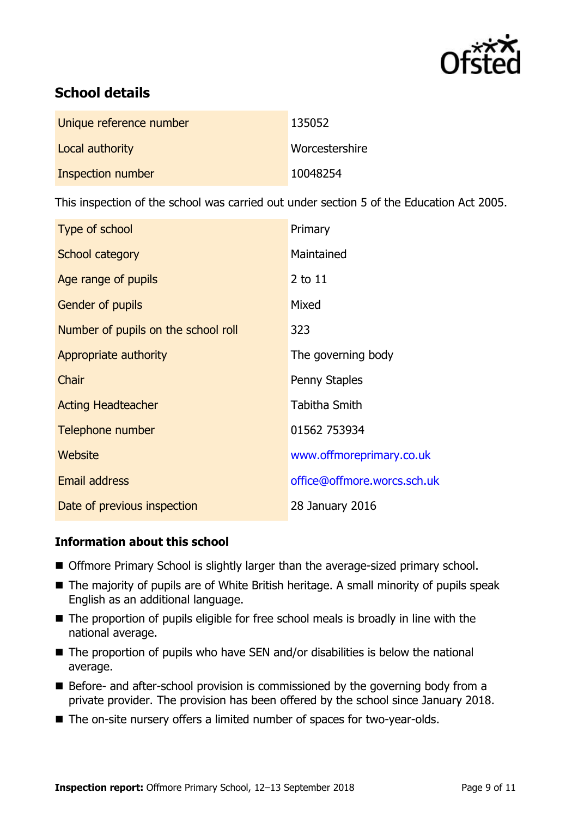

# **School details**

| Unique reference number | 135052         |
|-------------------------|----------------|
| Local authority         | Worcestershire |
| Inspection number       | 10048254       |

This inspection of the school was carried out under section 5 of the Education Act 2005.

| Type of school                      | Primary                     |
|-------------------------------------|-----------------------------|
| School category                     | Maintained                  |
| Age range of pupils                 | 2 to 11                     |
| Gender of pupils                    | Mixed                       |
| Number of pupils on the school roll | 323                         |
| Appropriate authority               | The governing body          |
| Chair                               | Penny Staples               |
| <b>Acting Headteacher</b>           | <b>Tabitha Smith</b>        |
| Telephone number                    | 01562 753934                |
| Website                             | www.offmoreprimary.co.uk    |
| <b>Email address</b>                | office@offmore.worcs.sch.uk |
| Date of previous inspection         | 28 January 2016             |

### **Information about this school**

- Offmore Primary School is slightly larger than the average-sized primary school.
- The majority of pupils are of White British heritage. A small minority of pupils speak English as an additional language.
- The proportion of pupils eligible for free school meals is broadly in line with the national average.
- $\blacksquare$  The proportion of pupils who have SEN and/or disabilities is below the national average.
- Before- and after-school provision is commissioned by the governing body from a private provider. The provision has been offered by the school since January 2018.
- The on-site nursery offers a limited number of spaces for two-year-olds.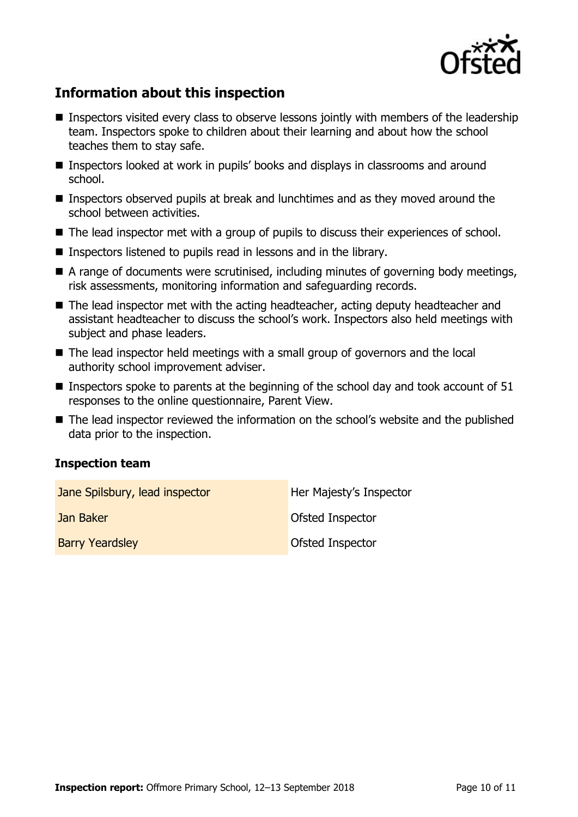

# **Information about this inspection**

- **Inspectors visited every class to observe lessons jointly with members of the leadership** team. Inspectors spoke to children about their learning and about how the school teaches them to stay safe.
- Inspectors looked at work in pupils' books and displays in classrooms and around school.
- Inspectors observed pupils at break and lunchtimes and as they moved around the school between activities.
- The lead inspector met with a group of pupils to discuss their experiences of school.
- Inspectors listened to pupils read in lessons and in the library.
- A range of documents were scrutinised, including minutes of governing body meetings, risk assessments, monitoring information and safeguarding records.
- The lead inspector met with the acting headteacher, acting deputy headteacher and assistant headteacher to discuss the school's work. Inspectors also held meetings with subject and phase leaders.
- The lead inspector held meetings with a small group of governors and the local authority school improvement adviser.
- **Inspectors spoke to parents at the beginning of the school day and took account of 51** responses to the online questionnaire, Parent View.
- The lead inspector reviewed the information on the school's website and the published data prior to the inspection.

#### **Inspection team**

| Jane Spilsbury, lead inspector | Her Majesty's Inspector |
|--------------------------------|-------------------------|
| Jan Baker                      | <b>Ofsted Inspector</b> |
| <b>Barry Yeardsley</b>         | Ofsted Inspector        |